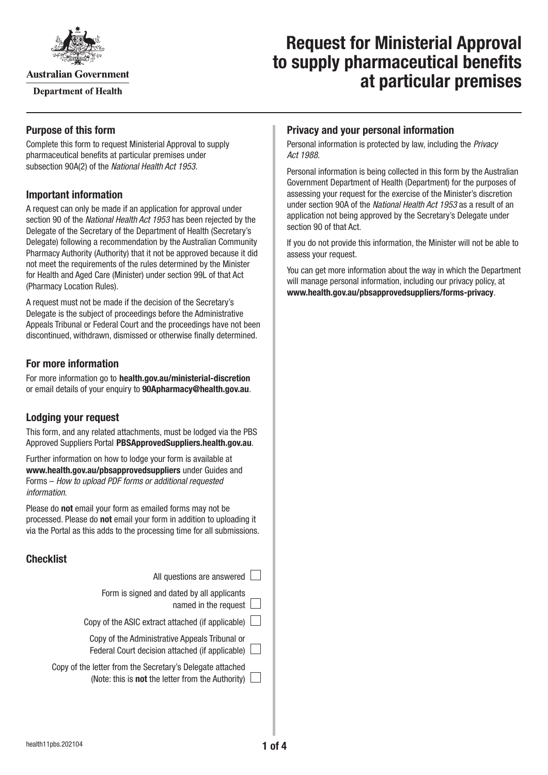

**Australian Government** 

**Department of Health** 

# **Request for Ministerial Approval to supply pharmaceutical benefits at particular premises**

# **Purpose of this form**

Complete this form to request Ministerial Approval to supply pharmaceutical benefits at particular premises under subsection 90A(2) of the *National Health Act 1953*.

# **Important information**

A request can only be made if an application for approval under section 90 of the *National Health Act 1953* has been rejected by the Delegate of the Secretary of the Department of Health (Secretary's Delegate) following a recommendation by the Australian Community Pharmacy Authority (Authority) that it not be approved because it did not meet the requirements of the rules determined by the Minister for Health and Aged Care (Minister) under section 99L of that Act (Pharmacy Location Rules).

A request must not be made if the decision of the Secretary's Delegate is the subject of proceedings before the Administrative Appeals Tribunal or Federal Court and the proceedings have not been discontinued, withdrawn, dismissed or otherwise finally determined.

# **For more information**

For more information go to **health.gov.au/ministerial-discretion** or email details of your enquiry to **[90Apharmacy@health.gov.au](mailto:90Apharmacy@health.gov.au)**.

# **Lodging your request**

This form, and any related attachments, must be lodged via the PBS Approved Suppliers Portal [PBSApprovedSuppliers.health.gov.au](https://PBSApprovedSuppliers.health.gov.au).

Further information on how to lodge your form is available at **[www.health.gov.au/pbsapprovedsuppliers](http://www.health.gov.au/pbsapprovedsuppliers)** under Guides and Forms – *How to upload PDF forms or additional requested information*.

Please do **not** email your form as emailed forms may not be processed. Please do **not** email your form in addition to uploading it via the Portal as this adds to the processing time for all submissions.

# **Checklist**

| All questions are answered                                                                                     |
|----------------------------------------------------------------------------------------------------------------|
| Form is signed and dated by all applicants<br>named in the request                                             |
| Copy of the ASIC extract attached (if applicable)                                                              |
| Copy of the Administrative Appeals Tribunal or<br>Federal Court decision attached (if applicable)              |
| Copy of the letter from the Secretary's Delegate attached<br>(Note: this is not the letter from the Authority) |

# **Privacy and your personal information**

Personal information is protected by law, including the *Privacy Act 1988*.

Personal information is being collected in this form by the Australian Government Department of Health (Department) for the purposes of assessing your request for the exercise of the Minister's discretion under section 90A of the *National Health Act 1953* as a result of an application not being approved by the Secretary's Delegate under section 90 of that Act.

If you do not provide this information, the Minister will not be able to assess your request.

You can get more information about the way in which the Department will manage personal information, including our privacy policy, at **[www.health.gov.au/pbsapprovedsuppliers/forms-privacy](http://www.health.gov.au/pbsapprovedsuppliers/forms-privacy)**.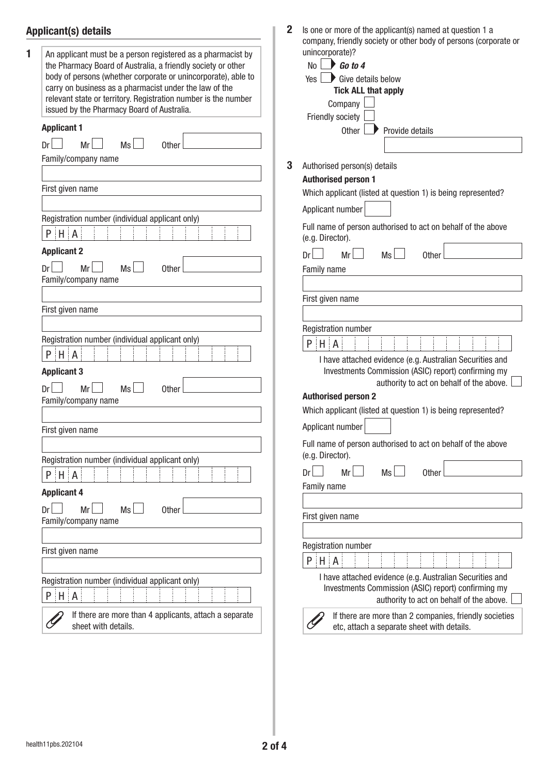# **Applicant(s) details**

|                                                                                                              | company, friendly society or other body of persons (corporate or                 |
|--------------------------------------------------------------------------------------------------------------|----------------------------------------------------------------------------------|
| An applicant must be a person registered as a pharmacist by                                                  | unincorporate)?                                                                  |
| the Pharmacy Board of Australia, a friendly society or other                                                 | Go to 4<br>No                                                                    |
| body of persons (whether corporate or unincorporate), able to                                                | $\blacktriangleright$ Give details below<br>Yes                                  |
| carry on business as a pharmacist under the law of the                                                       | <b>Tick ALL that apply</b>                                                       |
| relevant state or territory. Registration number is the number<br>issued by the Pharmacy Board of Australia. | Company                                                                          |
|                                                                                                              | Friendly society                                                                 |
| <b>Applicant 1</b>                                                                                           | Other<br>Provide details                                                         |
| <b>Ms</b><br>Mr<br>Dr <sub>1</sub><br>Other                                                                  |                                                                                  |
| Family/company name                                                                                          |                                                                                  |
|                                                                                                              | 3<br>Authorised person(s) details                                                |
|                                                                                                              | <b>Authorised person 1</b>                                                       |
| First given name                                                                                             | Which applicant (listed at question 1) is being represented?                     |
|                                                                                                              | Applicant number                                                                 |
| Registration number (individual applicant only)                                                              |                                                                                  |
| $P$ $H$ $A$                                                                                                  | Full name of person authorised to act on behalf of the above<br>(e.g. Director). |
| <b>Applicant 2</b>                                                                                           | Dr<br>Mr<br>Ms<br><b>Other</b>                                                   |
| Mr<br><b>Ms</b><br>Dr<br><b>Other</b>                                                                        | Family name                                                                      |
| Family/company name                                                                                          |                                                                                  |
|                                                                                                              |                                                                                  |
| First given name                                                                                             | First given name                                                                 |
|                                                                                                              |                                                                                  |
|                                                                                                              | Registration number                                                              |
| Registration number (individual applicant only)                                                              | $P$ $H$ $A$                                                                      |
| $P$ $H$ $A$                                                                                                  | I have attached evidence (e.g. Australian Securities and                         |
| <b>Applicant 3</b>                                                                                           | Investments Commission (ASIC) report) confirming my                              |
|                                                                                                              | authority to act on behalf of the above.                                         |
| Mr<br>Ms<br>Other<br>Family/company name                                                                     | <b>Authorised person 2</b>                                                       |
|                                                                                                              | Which applicant (listed at question 1) is being represented?                     |
|                                                                                                              |                                                                                  |
| First given name                                                                                             | Applicant number                                                                 |
|                                                                                                              | Full name of person authorised to act on behalf of the above                     |
| Registration number (individual applicant only)                                                              | (e.g. Director).                                                                 |
| $P$ $H$ $A$                                                                                                  | Ms<br>Mr<br>Dr<br>Other                                                          |
|                                                                                                              | Family name                                                                      |
| <b>Applicant 4</b>                                                                                           |                                                                                  |
| Mr<br>Ms<br>Other<br>Dr                                                                                      | First given name                                                                 |
| Family/company name                                                                                          |                                                                                  |
|                                                                                                              |                                                                                  |
| First given name                                                                                             | Registration number                                                              |
|                                                                                                              | $P$ $H$ $A$                                                                      |
|                                                                                                              | I have attached evidence (e.g. Australian Securities and                         |
| Registration number (individual applicant only)                                                              | Investments Commission (ASIC) report) confirming my                              |
| $P$ $H$ $A$                                                                                                  | authority to act on behalf of the above.                                         |
| If there are more than 4 applicants, attach a separate                                                       | If there are more than 2 companies, friendly societies                           |
| sheet with details.                                                                                          | etc, attach a separate sheet with details.                                       |
|                                                                                                              |                                                                                  |
|                                                                                                              |                                                                                  |

I

**2** Is one or more of the applicant(s) named at question 1 a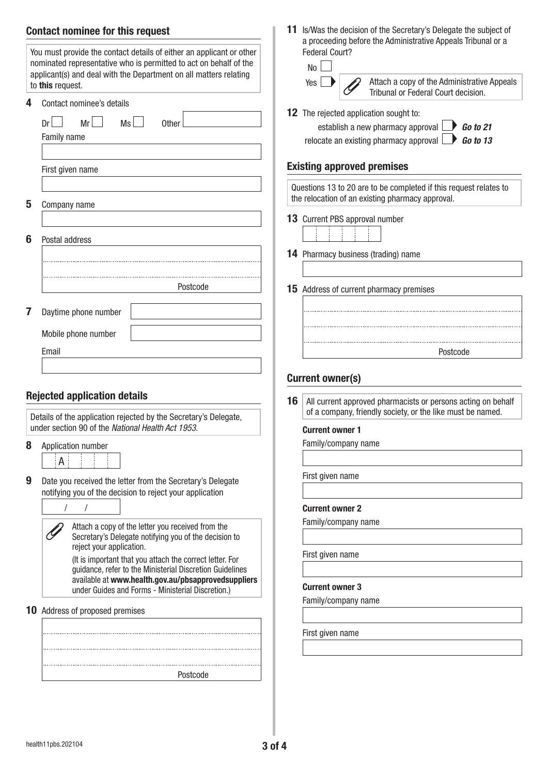# **Contact nominee for this request**

|        | Contact nominee's details                                                                                             |
|--------|-----------------------------------------------------------------------------------------------------------------------|
|        |                                                                                                                       |
|        | Dr <sub>1</sub><br>Mr<br>$Ms$  <br>0ther<br>Family name                                                               |
|        |                                                                                                                       |
|        | First given name                                                                                                      |
|        |                                                                                                                       |
| 5      | Company name                                                                                                          |
|        |                                                                                                                       |
| 6      | Postal address                                                                                                        |
|        |                                                                                                                       |
|        |                                                                                                                       |
|        | Postcode                                                                                                              |
| 7      | Daytime phone number                                                                                                  |
|        |                                                                                                                       |
|        |                                                                                                                       |
|        | Mobile phone number                                                                                                   |
|        | Email                                                                                                                 |
|        |                                                                                                                       |
|        | <b>Rejected application details</b>                                                                                   |
|        |                                                                                                                       |
|        | Details of the application rejected by the Secretary's Delegate,<br>under section 90 of the National Health Act 1953. |
|        | Application number                                                                                                    |
|        | А                                                                                                                     |
| 8<br>9 | Date you received the letter from the Secretary's Delegate                                                            |
|        | notifying you of the decision to reject your application                                                              |
|        | I                                                                                                                     |
|        | Attach a copy of the letter you received from the<br>Secretary's Delegate notifying you of the decision to            |
|        | reject your application.                                                                                              |
|        | (It is important that you attach the correct letter. For<br>guidance, refer to the Ministerial Discretion Guidelines  |
|        | available at www.health.gov.au/pbsapprovedsuppliers<br>under Guides and Forms - Ministerial Discretion.)              |

Postcode

**11** Is/Was the decision of the Secretary's Delegate the subject of a proceeding before the Administrative Appeals Tribunal or a Federal Court?



**12** The rejected application sought to:

| establish a new pharmacy approval $\Box$ <b>Go to 21</b>      |  |
|---------------------------------------------------------------|--|
| relocate an existing pharmacy approval $\Box$ <b>Go to 13</b> |  |

#### **Existing approved premises**

Questions 13 to 20 are to be completed if this request relates to the relocation of an existing pharmacy approval.

**13** Current PBS approval number

14 Pharmacy business (trading) name

**15** Address of current pharmacy premises

| Postcode |
|----------|
|          |
|          |
|          |
|          |
|          |
|          |

## **Current owner(s)**

**16** All current approved pharmacists or persons acting on behalf of a company, friendly society, or the like must be named.

## **Current owner 1**

Family/company name

First given name

#### **Current owner 2**

Family/company name

First given name

#### **Current owner 3**

Family/company name

First given name